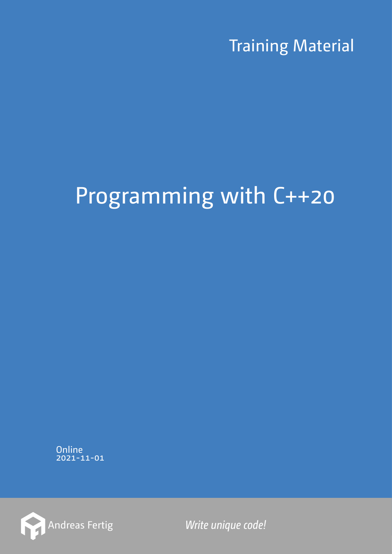**Training Material** 

## Programming with C++20

Online<br>2021-11-01



Write unique code!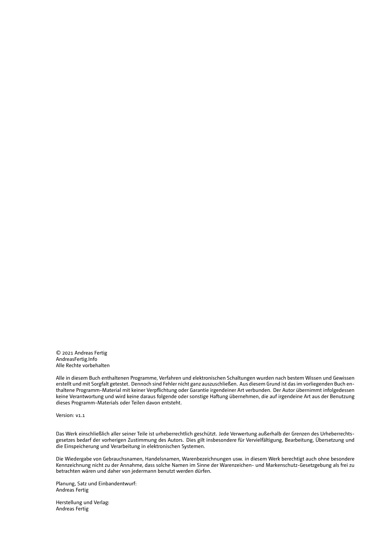© 2021 Andreas Fertig AndreasFertig.Info Alle Rechte vorbehalten

Alle in diesem Buch enthaltenen Programme, Verfahren und elektronischen Schaltungen wurden nach bestem Wissen und Gewissen erstellt und mit Sorgfalt getestet. Dennoch sind Fehler nicht ganz auszuschließen. Aus diesem Grund ist das im vorliegenden Buch enthaltene Programm-Material mit keiner Verpflichtung oder Garantie irgendeiner Art verbunden. Der Autor übernimmt infolgedessen keine Verantwortung und wird keine daraus folgende oder sonstige Haftung übernehmen, die auf irgendeine Art aus der Benutzung dieses Programm-Materials oder Teilen davon entsteht.

Version: v1.1

Das Werk einschließlich aller seiner Teile ist urheberrechtlich geschützt. Jede Verwertung außerhalb der Grenzen des Urheberrechtsgesetzes bedarf der vorherigen Zustimmung des Autors. Dies gilt insbesondere für Vervielfältigung, Bearbeitung, Übersetzung und die Einspeicherung und Verarbeitung in elektronischen Systemen.

Die Wiedergabe von Gebrauchsnamen, Handelsnamen, Warenbezeichnungen usw. in diesem Werk berechtigt auch ohne besondere Kennzeichnung nicht zu der Annahme, dass solche Namen im Sinne der Warenzeichen- und Markenschutz-Gesetzgebung als frei zu betrachten wären und daher von jedermann benutzt werden dürfen.

Planung, Satz und Einbandentwurf: Andreas Fertig

Herstellung und Verlag: Andreas Fertig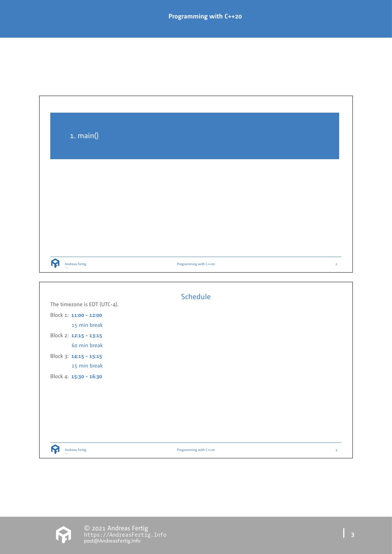| $1.$ main()                                                                                                |                        |                     |
|------------------------------------------------------------------------------------------------------------|------------------------|---------------------|
|                                                                                                            |                        |                     |
|                                                                                                            |                        |                     |
|                                                                                                            |                        |                     |
|                                                                                                            |                        |                     |
|                                                                                                            |                        |                     |
|                                                                                                            |                        |                     |
|                                                                                                            |                        |                     |
|                                                                                                            |                        |                     |
|                                                                                                            |                        |                     |
| ନ                                                                                                          |                        |                     |
| Andreas Fertig $_{\tiny \rm{v1.1}}$                                                                        | Programming with C++20 | $\mathbf{2}^{\top}$ |
|                                                                                                            |                        |                     |
|                                                                                                            |                        |                     |
|                                                                                                            |                        |                     |
|                                                                                                            | Schedule               |                     |
|                                                                                                            |                        |                     |
| 15 min break                                                                                               |                        |                     |
|                                                                                                            |                        |                     |
| 60 min break                                                                                               |                        |                     |
| The timezone is EDT (UTC-4).<br>Block 1: 11:00 - 12:00<br>Block 2: 12:15 - 13:15<br>Block 3: 14:15 - 15:15 |                        |                     |
| 15 min break                                                                                               |                        |                     |
| Block 4: 15:30 - 16:30                                                                                     |                        |                     |
|                                                                                                            |                        |                     |
|                                                                                                            |                        |                     |
|                                                                                                            |                        |                     |
|                                                                                                            |                        |                     |

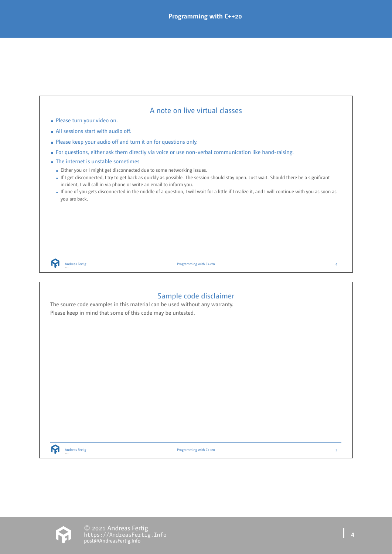|                                    | A note on live virtual classes                                                                                                                                                                                     |
|------------------------------------|--------------------------------------------------------------------------------------------------------------------------------------------------------------------------------------------------------------------|
| - Please turn your video on.       |                                                                                                                                                                                                                    |
| All sessions start with audio off. |                                                                                                                                                                                                                    |
|                                    | . Please keep your audio off and turn it on for questions only.                                                                                                                                                    |
|                                    | For questions, either ask them directly via voice or use non-verbal communication like hand-raising.                                                                                                               |
| The internet is unstable sometimes |                                                                                                                                                                                                                    |
|                                    | · Either you or I might get disconnected due to some networking issues.<br>If I get disconnected, I try to get back as quickly as possible. The session should stay open. Just wait. Should there be a significant |
|                                    | incident, I will call in via phone or write an email to inform you.                                                                                                                                                |
|                                    | If one of you gets disconnected in the middle of a question, I will wait for a little if I realize it, and I will continue with you as soon as                                                                     |
| you are back.                      |                                                                                                                                                                                                                    |
|                                    |                                                                                                                                                                                                                    |
|                                    |                                                                                                                                                                                                                    |
|                                    |                                                                                                                                                                                                                    |
|                                    |                                                                                                                                                                                                                    |
|                                    |                                                                                                                                                                                                                    |
| <b>Andreas Fertig</b>              | Programming with C++20<br>4                                                                                                                                                                                        |
|                                    |                                                                                                                                                                                                                    |
|                                    |                                                                                                                                                                                                                    |
|                                    | Sample code disclaimer                                                                                                                                                                                             |
|                                    | The source code examples in this material can be used without any warranty.                                                                                                                                        |
|                                    |                                                                                                                                                                                                                    |
|                                    | Please keep in mind that some of this code may be untested.                                                                                                                                                        |
|                                    |                                                                                                                                                                                                                    |
|                                    |                                                                                                                                                                                                                    |
|                                    |                                                                                                                                                                                                                    |
|                                    |                                                                                                                                                                                                                    |
|                                    |                                                                                                                                                                                                                    |
|                                    |                                                                                                                                                                                                                    |
|                                    |                                                                                                                                                                                                                    |
|                                    |                                                                                                                                                                                                                    |
|                                    |                                                                                                                                                                                                                    |

Programming with C++20 5

R

Andreas Fertig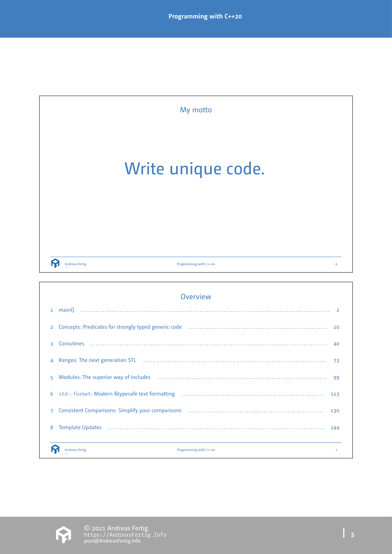



Programming with C++20 7



Andreas Fertig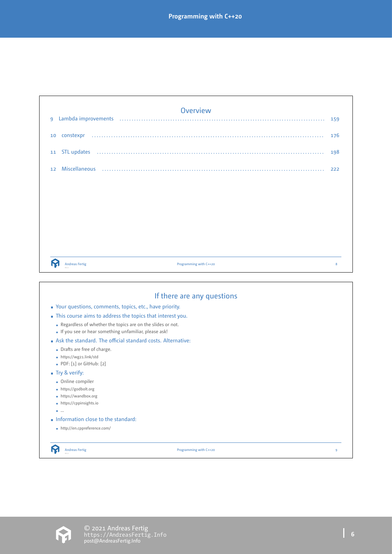|                                                    | <b>Overview</b>                                                                                                    |     |
|----------------------------------------------------|--------------------------------------------------------------------------------------------------------------------|-----|
| 9                                                  |                                                                                                                    | 159 |
| constexpr<br>10                                    |                                                                                                                    | 176 |
| <b>STL updates</b><br>11                           |                                                                                                                    | 198 |
| 12                                                 |                                                                                                                    | 222 |
|                                                    |                                                                                                                    |     |
|                                                    |                                                                                                                    |     |
|                                                    |                                                                                                                    |     |
|                                                    |                                                                                                                    |     |
|                                                    |                                                                                                                    |     |
|                                                    |                                                                                                                    |     |
|                                                    |                                                                                                                    |     |
| <b>Andreas Fertig</b>                              | Programming with C++20                                                                                             | 8   |
|                                                    |                                                                                                                    |     |
|                                                    | If there are any questions                                                                                         |     |
|                                                    | • Your questions, comments, topics, etc., have priority.                                                           |     |
|                                                    | . This course aims to address the topics that interest you.                                                        |     |
|                                                    | Regardless of whether the topics are on the slides or not.<br>If you see or hear something unfamiliar, please ask! |     |
|                                                    | Ask the standard. The official standard costs. Alternative:                                                        |     |
| Drafts are free of charge.                         |                                                                                                                    |     |
| https://wg21.link/std<br>. PDF: [1] or GitHub: [2] |                                                                                                                    |     |
| Try & verify:                                      |                                                                                                                    |     |
| • Online compiler                                  |                                                                                                                    |     |
| https://godbolt.org                                |                                                                                                                    |     |
| https://wandbox.org                                |                                                                                                                    |     |
| • https://cppinsights.io                           |                                                                                                                    |     |
| $\blacksquare$                                     |                                                                                                                    |     |
| . Information close to the standard:               |                                                                                                                    |     |
| http://en.cppreference.com/                        |                                                                                                                    |     |
|                                                    |                                                                                                                    |     |



 $\overline{\phantom{a}}$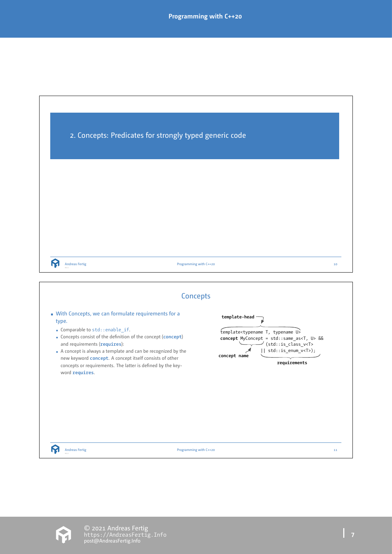

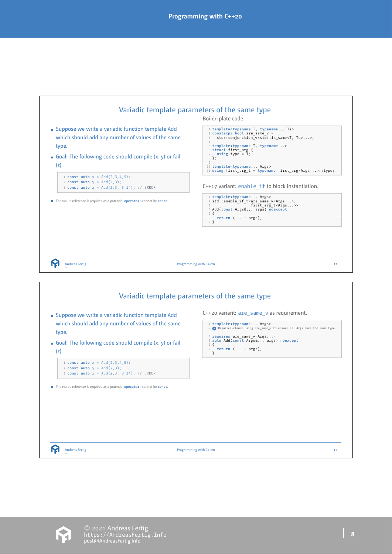

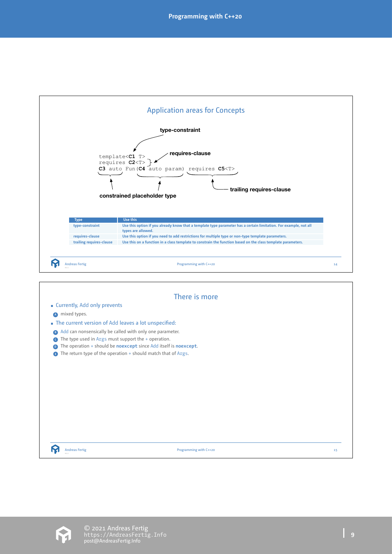

- **<sup>ð</sup>** Add can nonsensically be called with only one parameter.
- *o* The type used in Args must support the + operation.
- **<sup>ø</sup>** The operation + should be **noexcept** since Add itself is **noexcept**.
- **<sup>ü</sup>** The return type of the operation + should match that of Args.

Programming with C++20  $\qquad \qquad$  15

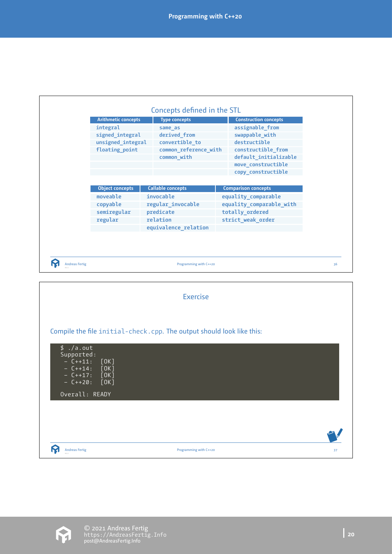|                                                                                                        | <b>Arithmetic concepts</b>   | Concepts defined in the STL<br><b>Type concepts</b>                   | <b>Construction concepts</b> |    |
|--------------------------------------------------------------------------------------------------------|------------------------------|-----------------------------------------------------------------------|------------------------------|----|
|                                                                                                        | integral                     | same as                                                               | assignable_from              |    |
|                                                                                                        | signed integral              | derived_from                                                          | swappable_with               |    |
|                                                                                                        | unsigned_integral            | convertible_to                                                        | destructible                 |    |
|                                                                                                        | floating_point               | common_reference_with                                                 | constructible_from           |    |
|                                                                                                        |                              | common_with                                                           | default_initializable        |    |
|                                                                                                        |                              |                                                                       | move_constructible           |    |
|                                                                                                        |                              |                                                                       | copy_constructible           |    |
|                                                                                                        |                              |                                                                       |                              |    |
|                                                                                                        | <b>Object concepts</b>       | <b>Callable concepts</b>                                              | <b>Comparison concepts</b>   |    |
|                                                                                                        | moveable                     | invocable                                                             | equality_comparable          |    |
|                                                                                                        | copyable                     | regular_invocable                                                     | equality_comparable_with     |    |
|                                                                                                        | semiregular                  | predicate                                                             | totally_ordered              |    |
|                                                                                                        | regular                      | relation                                                              | strict_weak_order            |    |
|                                                                                                        |                              | equivalence_relation                                                  |                              |    |
| M<br><b>Andreas Fertig</b>                                                                             |                              | Programming with C++20                                                |                              | 36 |
|                                                                                                        |                              |                                                                       |                              |    |
|                                                                                                        |                              | <b>Exercise</b>                                                       |                              |    |
|                                                                                                        |                              |                                                                       |                              |    |
|                                                                                                        |                              |                                                                       |                              |    |
|                                                                                                        |                              | Compile the file initial-check.cpp. The output should look like this: |                              |    |
| $\sqrt{3}$ ./a.out<br>Supported:<br>$- C++11:$<br>$C++14:$<br>$C++17:$<br>$- C++20:$<br>Overall: READY | [OK]<br>[OK]<br>[OK]<br>[OK] |                                                                       |                              |    |
|                                                                                                        |                              |                                                                       |                              |    |

Programming with C++20 37



Andreas Fertig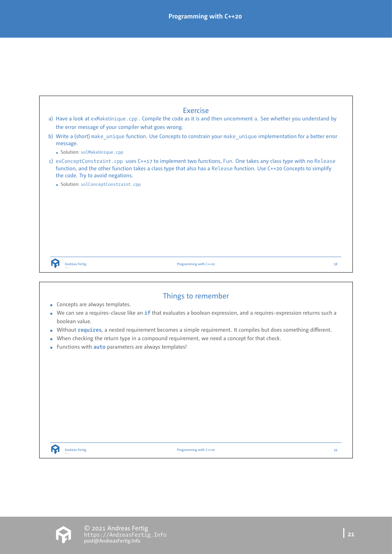|                                                        | <b>Exercise</b>                                                                                                                                                                                                                         |    |
|--------------------------------------------------------|-----------------------------------------------------------------------------------------------------------------------------------------------------------------------------------------------------------------------------------------|----|
|                                                        | a) Have a look at exMakeUnique.cpp. Compile the code as it is and then uncomment a. See whether you understand by                                                                                                                       |    |
| the error message of your compiler what goes wrong.    |                                                                                                                                                                                                                                         |    |
| message.                                               | b) Write a (short) make_unique function. Use Concepts to constrain your make_unique implementation for a better error                                                                                                                   |    |
| · Solution: solMakeUnique.cpp                          |                                                                                                                                                                                                                                         |    |
| the code. Try to avoid negations.                      | c) exConceptConstraint.cpp uses C++17 to implement two functions, Fun. One takes any class type with no Release<br>function, and the other function takes a class type that also has a Release function. Use C++20 Concepts to simplify |    |
| · Solution: solConceptConstraint.cpp                   |                                                                                                                                                                                                                                         |    |
|                                                        |                                                                                                                                                                                                                                         |    |
|                                                        |                                                                                                                                                                                                                                         |    |
|                                                        |                                                                                                                                                                                                                                         |    |
|                                                        |                                                                                                                                                                                                                                         |    |
|                                                        |                                                                                                                                                                                                                                         |    |
|                                                        |                                                                                                                                                                                                                                         |    |
|                                                        |                                                                                                                                                                                                                                         |    |
| <b>Andreas Fertig</b>                                  | Programming with C++20                                                                                                                                                                                                                  | 38 |
|                                                        |                                                                                                                                                                                                                                         |    |
|                                                        |                                                                                                                                                                                                                                         |    |
|                                                        |                                                                                                                                                                                                                                         |    |
|                                                        | Things to remember                                                                                                                                                                                                                      |    |
| Concepts are always templates.                         |                                                                                                                                                                                                                                         |    |
| boolean value.                                         | • We can see a requires-clause like an if that evaluates a boolean expression, and a requires-expression returns such a                                                                                                                 |    |
|                                                        | Without requires, a nested requirement becomes a simple requirement. It compiles but does something different.                                                                                                                          |    |
|                                                        | When checking the return type in a compound requirement, we need a concept for that check.                                                                                                                                              |    |
|                                                        |                                                                                                                                                                                                                                         |    |
|                                                        |                                                                                                                                                                                                                                         |    |
| • Functions with auto parameters are always templates! |                                                                                                                                                                                                                                         |    |
|                                                        |                                                                                                                                                                                                                                         |    |
|                                                        |                                                                                                                                                                                                                                         |    |
|                                                        |                                                                                                                                                                                                                                         |    |
|                                                        |                                                                                                                                                                                                                                         |    |
|                                                        |                                                                                                                                                                                                                                         |    |

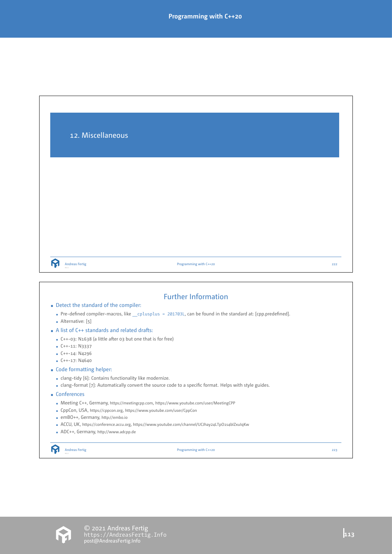| 12. Miscellaneous                                                                                                                                                                                              |                                                                                                                |     |
|----------------------------------------------------------------------------------------------------------------------------------------------------------------------------------------------------------------|----------------------------------------------------------------------------------------------------------------|-----|
|                                                                                                                                                                                                                |                                                                                                                |     |
|                                                                                                                                                                                                                |                                                                                                                |     |
|                                                                                                                                                                                                                |                                                                                                                |     |
|                                                                                                                                                                                                                |                                                                                                                |     |
|                                                                                                                                                                                                                |                                                                                                                |     |
|                                                                                                                                                                                                                |                                                                                                                |     |
|                                                                                                                                                                                                                |                                                                                                                |     |
|                                                                                                                                                                                                                |                                                                                                                |     |
| <b>Andreas Fertig</b>                                                                                                                                                                                          | Programming with C++20                                                                                         | 222 |
|                                                                                                                                                                                                                |                                                                                                                |     |
|                                                                                                                                                                                                                |                                                                                                                |     |
|                                                                                                                                                                                                                |                                                                                                                |     |
|                                                                                                                                                                                                                | <b>Further Information</b>                                                                                     |     |
|                                                                                                                                                                                                                |                                                                                                                |     |
| - Alternative: [5]                                                                                                                                                                                             | - Pre-defined compiler-macros, like __ cplusplus = 201703L, can be found in the standard at: [cpp.predefined]. |     |
|                                                                                                                                                                                                                |                                                                                                                |     |
| C++-03: N1638 (a little after 03 but one that is for free)                                                                                                                                                     |                                                                                                                |     |
| $C++-11: N3337$                                                                                                                                                                                                |                                                                                                                |     |
| $-C++-14: N4296$<br>$-C++-17: N4640$                                                                                                                                                                           |                                                                                                                |     |
|                                                                                                                                                                                                                |                                                                                                                |     |
| - clang-tidy [6]: Contains functionality like modernize.                                                                                                                                                       |                                                                                                                |     |
|                                                                                                                                                                                                                | - clang-format [7]: Automatically convert the source code to a specific format. Helps with style guides.       |     |
|                                                                                                                                                                                                                | - Meeting C++, Germany, https://meetingcpp.com, https://www.youtube.com/user/MeetingCPP                        |     |
| Detect the standard of the compiler:<br>A list of C++ standards and related drafts:<br>Code formatting helper:<br><b>Conferences</b><br>- CppCon, USA, https://cppcon.org, https://www.youtube.com/user/CppCon |                                                                                                                |     |
| · emBO++, Germany, http://embo.io                                                                                                                                                                              |                                                                                                                |     |
| - ADC++, Germany, http://www.adcpp.de                                                                                                                                                                          | - ACCU, UK, https://conference.accu.org, https://www.youtube.com/channel/UCJhay24LTp01s4blZxulqKw              |     |

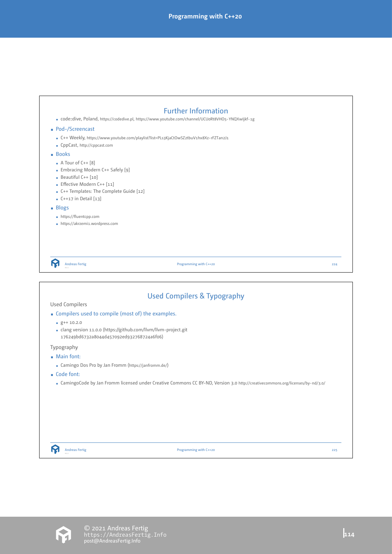|                                                                                                               | <b>Further Information</b>                                                                                                      |     |
|---------------------------------------------------------------------------------------------------------------|---------------------------------------------------------------------------------------------------------------------------------|-----|
|                                                                                                               | code::dive, Poland, https://codedive.pl, https://www.youtube.com/channel/UCUoRt8VH05-YNQXwljkf-1g                               |     |
| ■ Pod-/Screencast                                                                                             |                                                                                                                                 |     |
|                                                                                                               | - C++ Weekly, https://www.youtube.com/playlist?list=PLs3KjaCtOwSZztbuV1hx8Xz-rFZTan2J1                                          |     |
| • CppCast, http://cppcast.com                                                                                 |                                                                                                                                 |     |
| <b>Books</b>                                                                                                  |                                                                                                                                 |     |
| $\bullet$ A Tour of C++ [8]                                                                                   |                                                                                                                                 |     |
| • Embracing Modern C++ Safely [9]<br>Beautiful $C++$ [10]                                                     |                                                                                                                                 |     |
| Effective Modern C++ [11]                                                                                     |                                                                                                                                 |     |
| • C++ Templates: The Complete Guide [12]                                                                      |                                                                                                                                 |     |
| $C++17$ in Detail [13]                                                                                        |                                                                                                                                 |     |
| <b>Blogs</b>                                                                                                  |                                                                                                                                 |     |
| https://fluentcpp.com                                                                                         |                                                                                                                                 |     |
| https://akrzemi1.wordpress.com                                                                                |                                                                                                                                 |     |
| <b>Andreas Fertig</b>                                                                                         | Programming with C++20                                                                                                          | 224 |
|                                                                                                               |                                                                                                                                 |     |
|                                                                                                               |                                                                                                                                 |     |
|                                                                                                               | <b>Used Compilers &amp; Typography</b>                                                                                          |     |
| <b>Used Compilers</b>                                                                                         |                                                                                                                                 |     |
| • Compilers used to compile (most of) the examples.<br>$g++10.2.0$                                            |                                                                                                                                 |     |
| - clang version 11.0.0 (https://github.com/llvm/llvm-project.git<br>176249bd6732a8044d457092ed932768724a6f06) |                                                                                                                                 |     |
| Typography                                                                                                    |                                                                                                                                 |     |
| <b>Main font:</b>                                                                                             |                                                                                                                                 |     |
| - Camingo Dos Pro by Jan Fromm (https://janfromm.de/)                                                         |                                                                                                                                 |     |
| <b>Code font:</b>                                                                                             |                                                                                                                                 |     |
|                                                                                                               | • CamingoCode by Jan Fromm licensed under Creative Commons CC BY-ND, Version 3.0 http://creativecommons.org/licenses/by-nd/3.0/ |     |
|                                                                                                               |                                                                                                                                 |     |
|                                                                                                               |                                                                                                                                 |     |
|                                                                                                               |                                                                                                                                 |     |

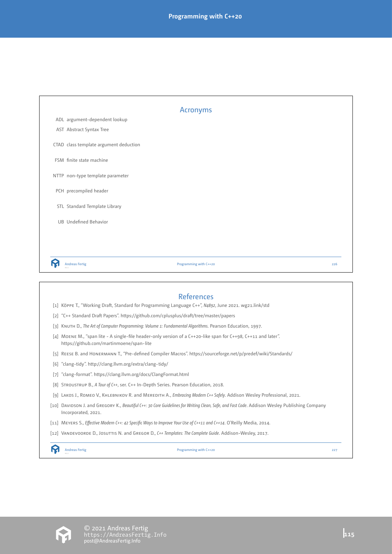|                                        | <b>Acronyms</b>        |     |
|----------------------------------------|------------------------|-----|
| ADL argument-dependent lookup          |                        |     |
| AST Abstract Syntax Tree               |                        |     |
| CTAD class template argument deduction |                        |     |
| FSM finite state machine               |                        |     |
| NTTP non-type template parameter       |                        |     |
| PCH precompiled header                 |                        |     |
| STL Standard Template Library          |                        |     |
| <b>UB</b> Undefined Behavior           |                        |     |
|                                        |                        |     |
|                                        |                        |     |
| <b>Andreas Fertig</b>                  | Programming with C++20 | 226 |



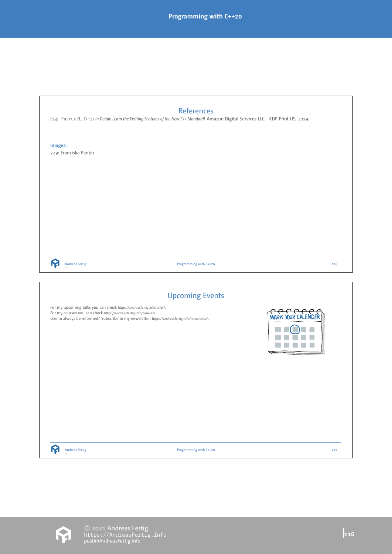